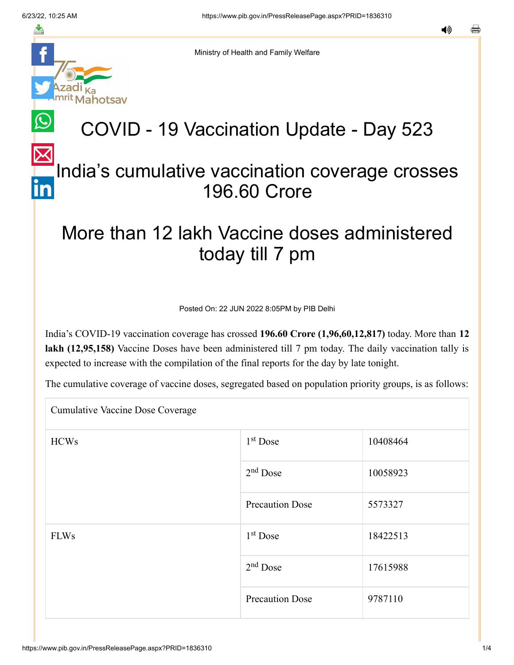≛

notsav

Ministry of Health and Family Welfare

# COVID - 19 Vaccination Update - Day 523

## [In](https://www.linkedin.com/shareArticle?mini=true&url=https://pib.gov.in/PressReleasePage.aspx?PRID=1836310&title=COVID%20-%2019%20Vaccination%20Update%20-%20Day%20523&summary=My%20favorite%20developer%20program&source=LinkedIn)dia's cumulative vaccination coverage crosses 196.60 Crore

## More than 12 lakh Vaccine doses administered today till 7 pm

Posted On: 22 JUN 2022 8:05PM by PIB Delhi

India's COVID-19 vaccination coverage has crossed **196.60 Crore (1,96,60,12,817)** today. More than **12 lakh (12,95,158)** Vaccine Doses have been administered till 7 pm today. The daily vaccination tally is expected to increase with the compilation of the final reports for the day by late tonight.

The cumulative coverage of vaccine doses, segregated based on population priority groups, is as follows:

Cumulative Vaccine Dose Coverage

| <b>HCWs</b> | $1st$ Dose             | 10408464 |
|-------------|------------------------|----------|
|             | $2nd$ Dose             | 10058923 |
|             | <b>Precaution Dose</b> | 5573327  |
| <b>FLWs</b> | 1 <sup>st</sup> Dose   | 18422513 |
|             | $2nd$ Dose             | 17615988 |
|             | <b>Precaution Dose</b> | 9787110  |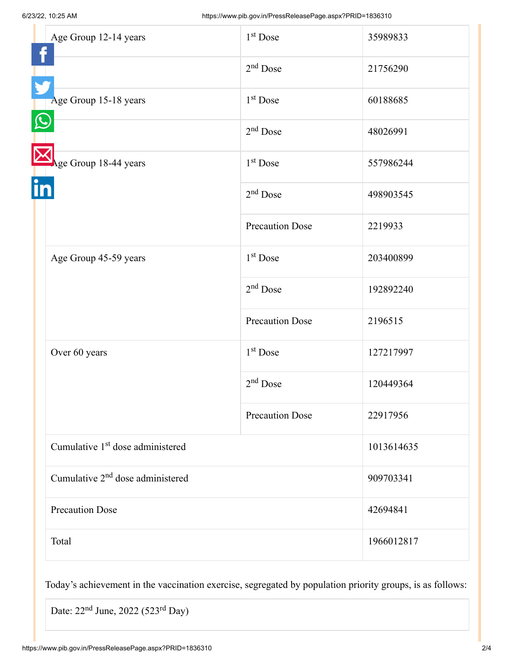| Age Group 12-14 years                        | $1st$ Dose             | 35989833   |
|----------------------------------------------|------------------------|------------|
|                                              | $2nd$ Dose             | 21756290   |
| Age Group 15-18 years                        | $1st$ Dose             | 60188685   |
|                                              | $2nd$ Dose             | 48026991   |
| Age Group 18-44 years                        | $1st$ Dose             | 557986244  |
|                                              | $2nd$ Dose             | 498903545  |
|                                              | <b>Precaution Dose</b> | 2219933    |
| Age Group 45-59 years                        | $1st$ Dose             | 203400899  |
|                                              | $2nd$ Dose             | 192892240  |
|                                              | <b>Precaution Dose</b> | 2196515    |
| Over 60 years                                | $1st$ Dose             | 127217997  |
|                                              | $2nd$ Dose             | 120449364  |
|                                              | <b>Precaution Dose</b> | 22917956   |
| Cumulative 1 <sup>st</sup> dose administered |                        | 1013614635 |
| Cumulative 2 <sup>nd</sup> dose administered |                        | 909703341  |
| <b>Precaution Dose</b>                       |                        | 42694841   |
| Total                                        |                        | 1966012817 |

Today's achievement in the vaccination exercise, segregated by population priority groups, is as follows:

Date:  $22<sup>nd</sup>$  June,  $2022$  (523<sup>rd</sup> Day)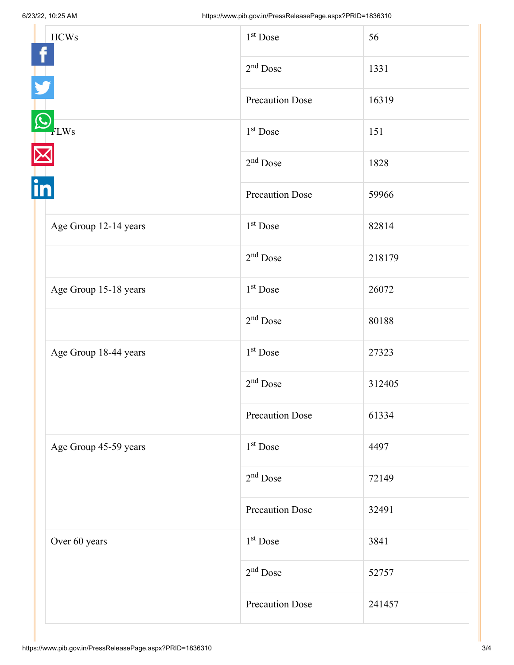|    | <b>HCWs</b>           | 1 <sup>st</sup> Dose   | 56     |
|----|-----------------------|------------------------|--------|
| in |                       | $2nd$ Dose             | 1331   |
|    |                       | <b>Precaution Dose</b> | 16319  |
|    | FLWs                  | $1st$ Dose             | 151    |
|    |                       | $2nd$ Dose             | 1828   |
|    |                       | <b>Precaution Dose</b> | 59966  |
|    | Age Group 12-14 years | $1st$ Dose             | 82814  |
|    |                       | $2nd$ Dose             | 218179 |
|    | Age Group 15-18 years | $1st$ Dose             | 26072  |
|    |                       | $2nd$ Dose             | 80188  |
|    | Age Group 18-44 years | $1st$ Dose             | 27323  |
|    |                       | $2nd$ Dose             | 312405 |
|    |                       | <b>Precaution Dose</b> | 61334  |
|    | Age Group 45-59 years | $1st$ Dose             | 4497   |
|    |                       | $2nd$ Dose             | 72149  |
|    |                       | <b>Precaution Dose</b> | 32491  |
|    | Over 60 years         | 1 <sup>st</sup> Dose   | 3841   |
|    |                       | $2nd$ Dose             | 52757  |
|    |                       | <b>Precaution Dose</b> | 241457 |